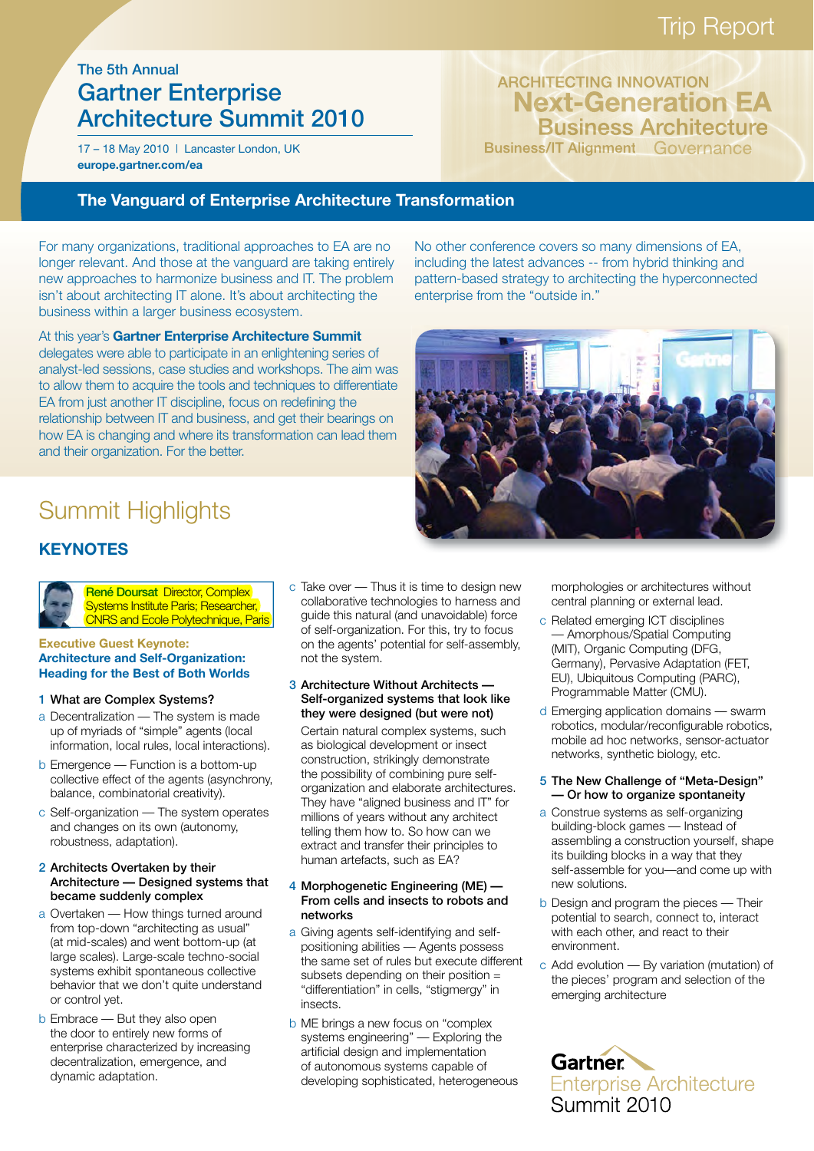# Trip Report

# The 5th Annual Gartner Enterprise Architecture Summit 2010

17 – 18 May 2010 | Lancaster London, UK **europe.gartner.com/ea**

ARCHITECTING INNOVATION Business Architecture Business/IT Alignment Governance **Next-Generation EA**

### **The Vanguard of Enterprise Architecture Transformation**

For many organizations, traditional approaches to EA are no longer relevant. And those at the vanguard are taking entirely new approaches to harmonize business and IT. The problem isn't about architecting IT alone. It's about architecting the business within a larger business ecosystem.

At this year's **Gartner Enterprise Architecture Summit**  delegates were able to participate in an enlightening series of analyst-led sessions, case studies and workshops. The aim was to allow them to acquire the tools and techniques to differentiate EA from just another IT discipline, focus on redefining the relationship between IT and business, and get their bearings on how EA is changing and where its transformation can lead them and their organization. For the better.

No other conference covers so many dimensions of EA, including the latest advances -- from hybrid thinking and pattern-based strategy to architecting the hyperconnected enterprise from the "outside in."



# Summit Highlights

# **KEYNOTES**



René Doursat Director, Complex Systems Institute Paris; Researcher, CNRS and Ecole Polytechnique, Paris

#### **Executive Guest Keynote: Architecture and Self-Organization: Heading for the Best of Both Worlds**

- 1 What are Complex Systems?
- a Decentralization The system is made up of myriads of "simple" agents (local information, local rules, local interactions).
- b Emergence Function is a bottom-up collective effect of the agents (asynchrony, balance, combinatorial creativity).
- c Self-organization The system operates and changes on its own (autonomy, robustness, adaptation).

### 2 Architects Overtaken by their Architecture — Designed systems that became suddenly complex

- a Overtaken How things turned around from top-down "architecting as usual" (at mid-scales) and went bottom-up (at large scales). Large-scale techno-social systems exhibit spontaneous collective behavior that we don't quite understand or control yet.
- b Embrace But they also open the door to entirely new forms of enterprise characterized by increasing decentralization, emergence, and dynamic adaptation.

c Take over — Thus it is time to design new collaborative technologies to harness and guide this natural (and unavoidable) force of self-organization. For this, try to focus on the agents' potential for self-assembly, not the system.

### 3 Architecture Without Architects — Self-organized systems that look like they were designed (but were not)

 Certain natural complex systems, such as biological development or insect construction, strikingly demonstrate the possibility of combining pure selforganization and elaborate architectures. They have "aligned business and IT" for millions of years without any architect telling them how to. So how can we extract and transfer their principles to human artefacts, such as EA?

### 4 Morphogenetic Engineering (ME) — From cells and insects to robots and networks

- a Giving agents self-identifying and selfpositioning abilities — Agents possess the same set of rules but execute different subsets depending on their position = "differentiation" in cells, "stigmergy" in insects.
- b ME brings a new focus on "complex systems engineering" — Exploring the artificial design and implementation of autonomous systems capable of developing sophisticated, heterogeneous

morphologies or architectures without central planning or external lead.

- c Related emerging ICT disciplines — Amorphous/Spatial Computing (MIT), Organic Computing (DFG, Germany), Pervasive Adaptation (FET, EU), Ubiquitous Computing (PARC), Programmable Matter (CMU).
- d Emerging application domains swarm robotics, modular/reconfigurable robotics, mobile ad hoc networks, sensor-actuator networks, synthetic biology, etc.

### 5 The New Challenge of "Meta-Design" — Or how to organize spontaneity

- a Construe systems as self-organizing building-block games — Instead of assembling a construction yourself, shape its building blocks in a way that they self-assemble for you—and come up with new solutions.
- b Design and program the pieces Their potential to search, connect to, interact with each other, and react to their environment.
- c Add evolution By variation (mutation) of the pieces' program and selection of the emerging architecture

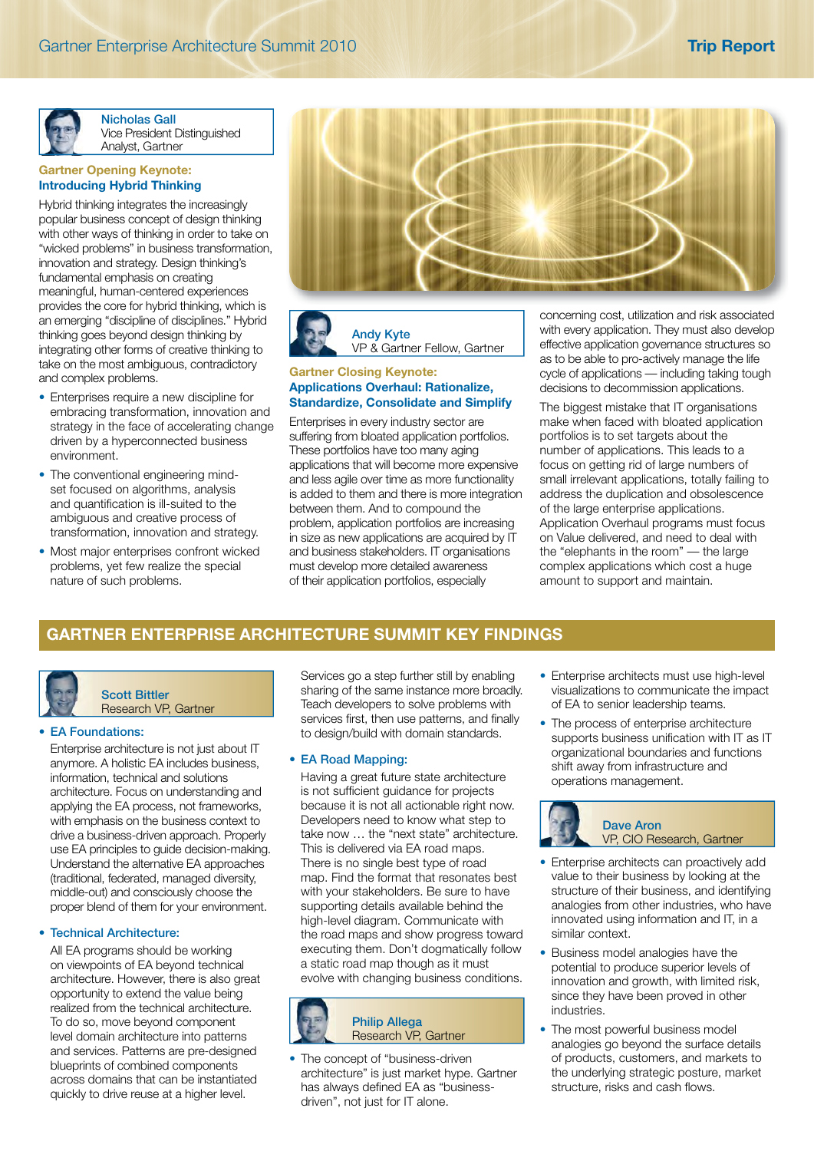

Nicholas Gall Vice President Distinguished Analyst, Gartner

### **Gartner Opening Keynote: Introducing Hybrid Thinking**

Hybrid thinking integrates the increasingly popular business concept of design thinking with other ways of thinking in order to take on "wicked problems" in business transformation, innovation and strategy. Design thinking's fundamental emphasis on creating meaningful, human-centered experiences provides the core for hybrid thinking, which is an emerging "discipline of disciplines." Hybrid thinking goes beyond design thinking by integrating other forms of creative thinking to take on the most ambiguous, contradictory and complex problems.

- Enterprises require a new discipline for embracing transformation, innovation and strategy in the face of accelerating change driven by a hyperconnected business environment.
- The conventional engineering mindset focused on algorithms, analysis and quantification is ill-suited to the ambiguous and creative process of transformation, innovation and strategy.
- Most major enterprises confront wicked problems, yet few realize the special nature of such problems.



Andy Kyte VP & Gartner Fellow, Gartner

### **Gartner Closing Keynote: Applications Overhaul: Rationalize, Standardize, Consolidate and Simplify**

Enterprises in every industry sector are suffering from bloated application portfolios. These portfolios have too many aging applications that will become more expensive and less agile over time as more functionality is added to them and there is more integration between them. And to compound the problem, application portfolios are increasing in size as new applications are acquired by IT and business stakeholders. IT organisations must develop more detailed awareness of their application portfolios, especially

concerning cost, utilization and risk associated with every application. They must also develop effective application governance structures so as to be able to pro-actively manage the life cycle of applications — including taking tough decisions to decommission applications.

The biggest mistake that IT organisations make when faced with bloated application portfolios is to set targets about the number of applications. This leads to a focus on getting rid of large numbers of small irrelevant applications, totally failing to address the duplication and obsolescence of the large enterprise applications. Application Overhaul programs must focus on Value delivered, and need to deal with the "elephants in the room" — the large complex applications which cost a huge amount to support and maintain.

## **GARTNER ENTERPRISE ARCHITECTURE SUMMIT KEY FINDINGS**

Scott Bittler Research VP, Gartner

### • EA Foundations:

 Enterprise architecture is not just about IT anymore. A holistic EA includes business, information, technical and solutions architecture. Focus on understanding and applying the EA process, not frameworks, with emphasis on the business context to drive a business-driven approach. Properly use EA principles to guide decision-making. Understand the alternative EA approaches (traditional, federated, managed diversity, middle-out) and consciously choose the proper blend of them for your environment.

### • Technical Architecture:

 All EA programs should be working on viewpoints of EA beyond technical architecture. However, there is also great opportunity to extend the value being realized from the technical architecture. To do so, move beyond component level domain architecture into patterns and services. Patterns are pre-designed blueprints of combined components across domains that can be instantiated quickly to drive reuse at a higher level.

Services go a step further still by enabling sharing of the same instance more broadly. Teach developers to solve problems with services first, then use patterns, and finally to design/build with domain standards.

### • EA Road Mapping:

 Having a great future state architecture is not sufficient quidance for projects because it is not all actionable right now. Developers need to know what step to take now … the "next state" architecture. This is delivered via EA road maps. There is no single best type of road map. Find the format that resonates best with your stakeholders. Be sure to have supporting details available behind the high-level diagram. Communicate with the road maps and show progress toward executing them. Don't dogmatically follow a static road map though as it must evolve with changing business conditions.



• The concept of "business-driven architecture" is just market hype. Gartner has always defined EA as "businessdriven", not just for IT alone.

- Enterprise architects must use high-level visualizations to communicate the impact of EA to senior leadership teams.
- The process of enterprise architecture supports business unification with IT as IT organizational boundaries and functions shift away from infrastructure and operations management.



Dave Aron VP, CIO Research, Gartner

- Enterprise architects can proactively add value to their business by looking at the structure of their business, and identifying analogies from other industries, who have innovated using information and IT, in a similar context.
- Business model analogies have the potential to produce superior levels of innovation and growth, with limited risk, since they have been proved in other industries.
- The most powerful business model analogies go beyond the surface details of products, customers, and markets to the underlying strategic posture, market structure, risks and cash flows.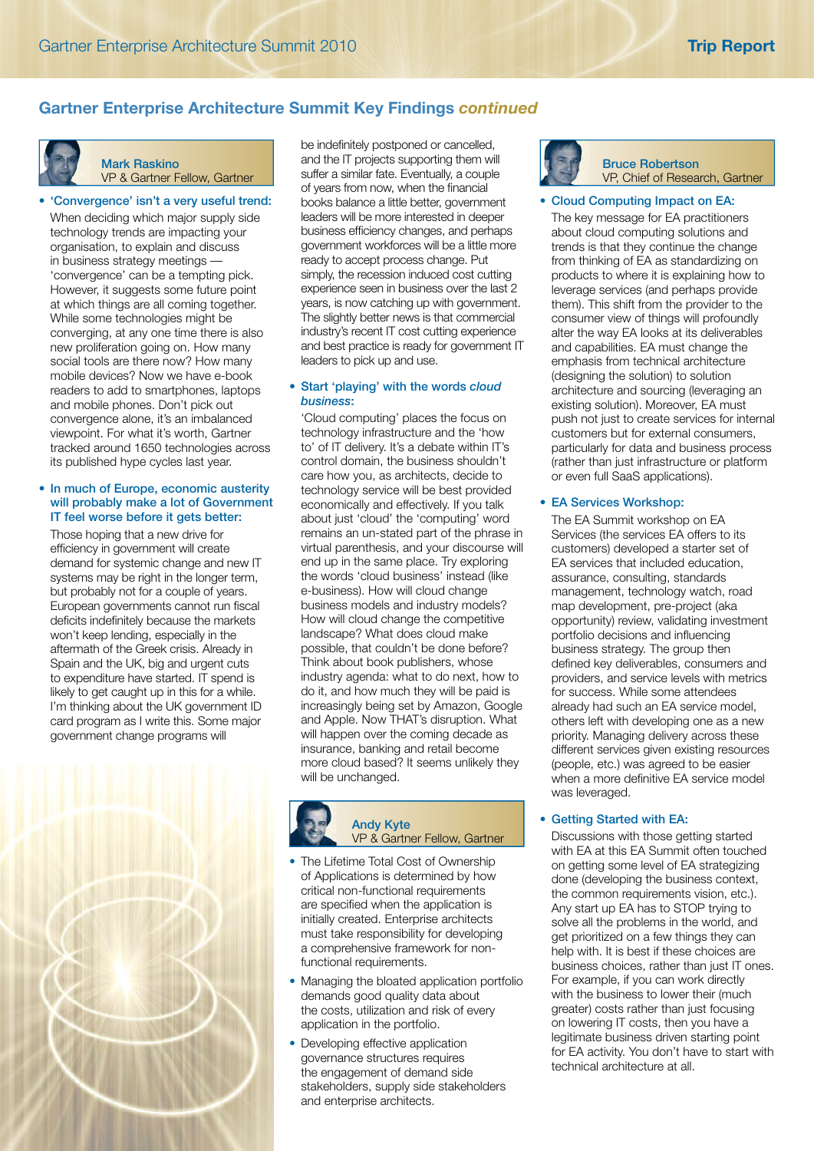# **Gartner Enterprise Architecture Summit Key Findings** *continued*



# Mark Raskino

VP & Gartner Fellow, Gartner

### • 'Convergence' isn't a very useful trend:

 When deciding which major supply side technology trends are impacting your organisation, to explain and discuss in business strategy meetings — 'convergence' can be a tempting pick. However, it suggests some future point at which things are all coming together. While some technologies might be converging, at any one time there is also new proliferation going on. How many social tools are there now? How many mobile devices? Now we have e-book readers to add to smartphones, laptops and mobile phones. Don't pick out convergence alone, it's an imbalanced viewpoint. For what it's worth, Gartner tracked around 1650 technologies across its published hype cycles last year.

### • In much of Europe, economic austerity will probably make a lot of Government IT feel worse before it gets better:

 Those hoping that a new drive for efficiency in government will create demand for systemic change and new IT systems may be right in the longer term, but probably not for a couple of years. European governments cannot run fiscal deficits indefinitely because the markets won't keep lending, especially in the aftermath of the Greek crisis. Already in Spain and the UK, big and urgent cuts to expenditure have started. IT spend is likely to get caught up in this for a while. I'm thinking about the UK government ID card program as I write this. Some major government change programs will



be indefinitely postponed or cancelled, and the IT projects supporting them will suffer a similar fate. Eventually, a couple of years from now, when the financial books balance a little better, government leaders will be more interested in deeper business efficiency changes, and perhaps government workforces will be a little more ready to accept process change. Put simply, the recession induced cost cutting experience seen in business over the last 2 years, is now catching up with government. The slightly better news is that commercial industry's recent IT cost cutting experience and best practice is ready for government IT leaders to pick up and use.

### • Start 'playing' with the words *cloud business*:

 'Cloud computing' places the focus on technology infrastructure and the 'how to' of IT delivery. It's a debate within IT's control domain, the business shouldn't care how you, as architects, decide to technology service will be best provided economically and effectively. If you talk about just 'cloud' the 'computing' word remains an un-stated part of the phrase in virtual parenthesis, and your discourse will end up in the same place. Try exploring the words 'cloud business' instead (like e-business). How will cloud change business models and industry models? How will cloud change the competitive landscape? What does cloud make possible, that couldn't be done before? Think about book publishers, whose industry agenda: what to do next, how to do it, and how much they will be paid is increasingly being set by Amazon, Google and Apple. Now THAT's disruption. What will happen over the coming decade as insurance, banking and retail become more cloud based? It seems unlikely they will be unchanged.



### Andy Kyte VP & Gartner Fellow, Gartner

- The Lifetime Total Cost of Ownership of Applications is determined by how critical non-functional requirements are specified when the application is initially created. Enterprise architects must take responsibility for developing a comprehensive framework for nonfunctional requirements.
- Managing the bloated application portfolio demands good quality data about the costs, utilization and risk of every application in the portfolio.
- Developing effective application governance structures requires the engagement of demand side stakeholders, supply side stakeholders and enterprise architects.



### Bruce Robertson VP, Chief of Research, Gartner

### • Cloud Computing Impact on EA:

 The key message for EA practitioners about cloud computing solutions and trends is that they continue the change from thinking of EA as standardizing on products to where it is explaining how to leverage services (and perhaps provide them). This shift from the provider to the consumer view of things will profoundly alter the way EA looks at its deliverables and capabilities. EA must change the emphasis from technical architecture (designing the solution) to solution architecture and sourcing (leveraging an existing solution). Moreover, EA must push not just to create services for internal customers but for external consumers, particularly for data and business process (rather than just infrastructure or platform or even full SaaS applications).

### • EA Services Workshop:

 The EA Summit workshop on EA Services (the services EA offers to its customers) developed a starter set of EA services that included education, assurance, consulting, standards management, technology watch, road map development, pre-project (aka opportunity) review, validating investment portfolio decisions and influencing business strategy. The group then defined key deliverables, consumers and providers, and service levels with metrics for success. While some attendees already had such an EA service model, others left with developing one as a new priority. Managing delivery across these different services given existing resources (people, etc.) was agreed to be easier when a more definitive EA service model was leveraged.

### • Getting Started with EA:

 Discussions with those getting started with EA at this EA Summit often touched on getting some level of EA strategizing done (developing the business context, the common requirements vision, etc.). Any start up EA has to STOP trying to solve all the problems in the world, and get prioritized on a few things they can help with. It is best if these choices are business choices, rather than just IT ones. For example, if you can work directly with the business to lower their (much greater) costs rather than just focusing on lowering IT costs, then you have a legitimate business driven starting point for EA activity. You don't have to start with technical architecture at all.